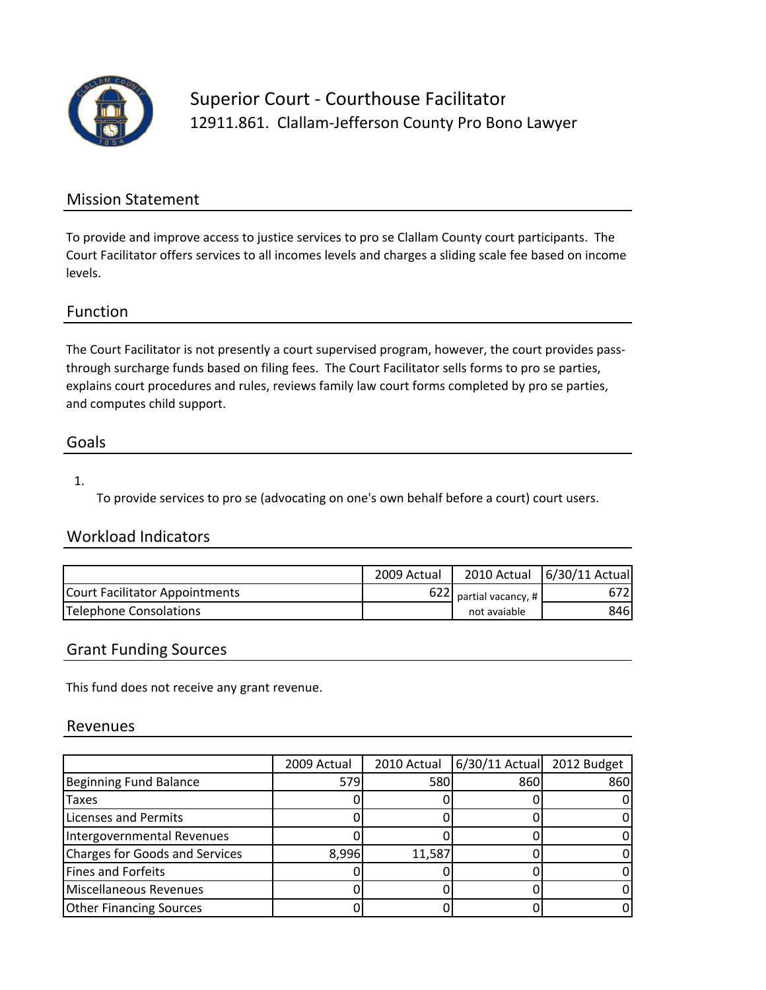

Superior Court ‐ Courthouse Facilitator 12911.861. Clallam-Jefferson County Pro Bono Lawyer

### Mission Statement

To provide and improve access to justice services to pro se Clallam County court participants. The Court Facilitator offers services to all incomes levels and charges a sliding scale fee based on income levels.

### Function

The Court Facilitator is not presently a court supervised program, however, the court provides passthrough surcharge funds based on filing fees. The Court Facilitator sells forms to pro se parties, explains court procedures and rules, reviews family law court forms completed by pro se parties, and computes child support.

### Goals

#### 1.

To provide services to pro se (advocating on one's own behalf before a court) court users.

## Workload Indicators

|                                | 2009 Actual |                                        | 2010 Actual 6/30/11 Actual |
|--------------------------------|-------------|----------------------------------------|----------------------------|
| Court Facilitator Appointments |             | 622 partial vacancy, #<br>not avaiable | 672I                       |
| Telephone Consolations         |             |                                        | 846I                       |

### Grant Funding Sources

This fund does not receive any grant revenue.

#### Revenues

|                                       | 2009 Actual | 2010 Actual | 6/30/11 Actual 2012 Budget |     |
|---------------------------------------|-------------|-------------|----------------------------|-----|
| <b>Beginning Fund Balance</b>         | 579         | 580         | 860                        | 860 |
| Taxes                                 |             |             |                            |     |
| <b>Licenses and Permits</b>           |             |             |                            |     |
| Intergovernmental Revenues            |             |             |                            |     |
| <b>Charges for Goods and Services</b> | 8,996       | 11,587      |                            |     |
| <b>Fines and Forfeits</b>             |             |             |                            |     |
| Miscellaneous Revenues                |             |             |                            |     |
| <b>Other Financing Sources</b>        |             |             |                            |     |